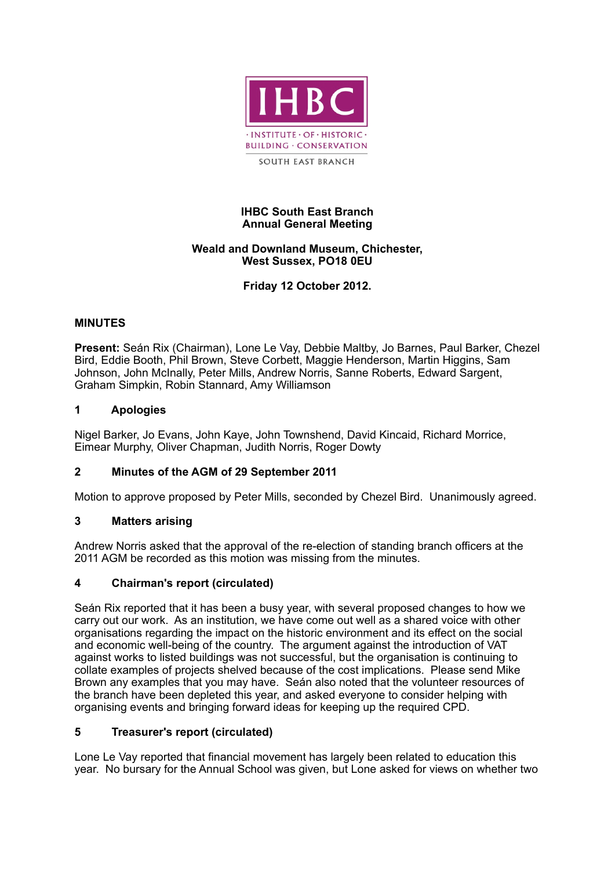

### **IHBC South East Branch Annual General Meeting**

### **Weald and Downland Museum, Chichester, West Sussex, PO18 0EU**

**Friday 12 October 2012.**

## **MINUTES**

**Present:** Seán Rix (Chairman), Lone Le Vay, Debbie Maltby, Jo Barnes, Paul Barker, Chezel Bird, Eddie Booth, Phil Brown, Steve Corbett, Maggie Henderson, Martin Higgins, Sam Johnson, John McInally, Peter Mills, Andrew Norris, Sanne Roberts, Edward Sargent, Graham Simpkin, Robin Stannard, Amy Williamson

#### **1 Apologies**

Nigel Barker, Jo Evans, John Kaye, John Townshend, David Kincaid, Richard Morrice, Eimear Murphy, Oliver Chapman, Judith Norris, Roger Dowty

## **2 Minutes of the AGM of 29 September 2011**

Motion to approve proposed by Peter Mills, seconded by Chezel Bird. Unanimously agreed.

## **3 Matters arising**

Andrew Norris asked that the approval of the re-election of standing branch officers at the 2011 AGM be recorded as this motion was missing from the minutes.

#### **4 Chairman's report (circulated)**

Seán Rix reported that it has been a busy year, with several proposed changes to how we carry out our work. As an institution, we have come out well as a shared voice with other organisations regarding the impact on the historic environment and its effect on the social and economic well-being of the country. The argument against the introduction of VAT against works to listed buildings was not successful, but the organisation is continuing to collate examples of projects shelved because of the cost implications. Please send Mike Brown any examples that you may have. Seán also noted that the volunteer resources of the branch have been depleted this year, and asked everyone to consider helping with organising events and bringing forward ideas for keeping up the required CPD.

## **5 Treasurer's report (circulated)**

Lone Le Vay reported that financial movement has largely been related to education this year. No bursary for the Annual School was given, but Lone asked for views on whether two